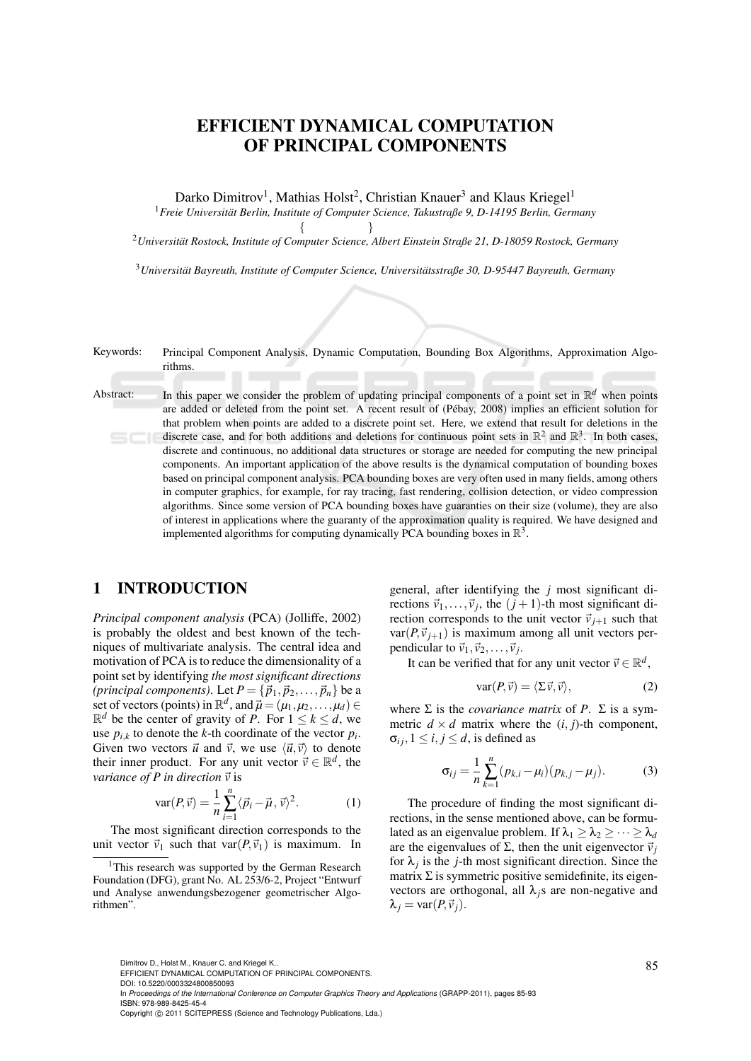# EFFICIENT DYNAMICAL COMPUTATION OF PRINCIPAL COMPONENTS

Darko Dimitrov<sup>1</sup>, Mathias Holst<sup>2</sup>, Christian Knauer<sup>3</sup> and Klaus Kriegel<sup>1</sup>

<sup>1</sup>*Freie Universitat Berlin, Institute of Computer Science, Takustraße 9, D-14195 Berlin, Germany ¨*  $\{$  }

<sup>2</sup>*Universitat Rostock, Institute of Computer Science, Albert Einstein Straße 21, D-18059 Rostock, Germany ¨*

<sup>3</sup>*Universitat Bayreuth, Institute of Computer Science, Universit ¨ atsstraße 30, D-95447 Bayreuth, Germany ¨*

Keywords: Principal Component Analysis, Dynamic Computation, Bounding Box Algorithms, Approximation Algorithms.

Abstract: In this paper we consider the problem of updating principal components of a point set in  $\mathbb{R}^d$  when points are added or deleted from the point set. A recent result of (Pébay, 2008) implies an efficient solution for that problem when points are added to a discrete point set. Here, we extend that result for deletions in the discrete case, and for both additions and deletions for continuous point sets in  $\mathbb{R}^2$  and  $\mathbb{R}^3$ . In both cases, discrete and continuous, no additional data structures or storage are needed for computing the new principal components. An important application of the above results is the dynamical computation of bounding boxes based on principal component analysis. PCA bounding boxes are very often used in many fields, among others in computer graphics, for example, for ray tracing, fast rendering, collision detection, or video compression algorithms. Since some version of PCA bounding boxes have guaranties on their size (volume), they are also of interest in applications where the guaranty of the approximation quality is required. We have designed and implemented algorithms for computing dynamically PCA bounding boxes in  $\mathbb{R}^3$ .

## 1 INTRODUCTION

*Principal component analysis* (PCA) (Jolliffe, 2002) is probably the oldest and best known of the techniques of multivariate analysis. The central idea and motivation of PCA is to reduce the dimensionality of a point set by identifying *the most significant directions (principal components)*. Let  $P = {\vec{p}_1, \vec{p}_2, ..., \vec{p}_n}$  be a set of vectors (points) in  $\mathbb{R}^d$ , and  $\vec{\mu} = (\mu_1, \mu_2, \dots, \mu_d) \in$  $\mathbb{R}^d$  be the center of gravity of *P*. For  $1 \leq k \leq d$ , we use  $p_{i,k}$  to denote the *k*-th coordinate of the vector  $p_i$ . Given two vectors  $\vec{u}$  and  $\vec{v}$ , we use  $\langle \vec{u}, \vec{v} \rangle$  to denote their inner product. For any unit vector  $\vec{v} \in \mathbb{R}^d$ , the *variance of P in direction*  $\vec{v}$  is

$$
\text{var}(P,\vec{v}) = \frac{1}{n} \sum_{i=1}^{n} \langle \vec{p}_i - \vec{\mu}, \vec{v} \rangle^2.
$$
 (1)

The most significant direction corresponds to the unit vector  $\vec{v}_1$  such that var $(P, \vec{v}_1)$  is maximum. In

general, after identifying the *j* most significant directions  $\vec{v}_1, \dots, \vec{v}_j$ , the  $(j+1)$ -th most significant direction corresponds to the unit vector  $\vec{v}_{j+1}$  such that  $var(P, \vec{v}_{i+1})$  is maximum among all unit vectors perpendicular to  $\vec{v}_1, \vec{v}_2, \ldots, \vec{v}_j$ .

It can be verified that for any unit vector  $\vec{v} \in \mathbb{R}^d$ ,

$$
\text{var}(P, \vec{v}) = \langle \Sigma \vec{v}, \vec{v} \rangle,
$$
 (2)

where  $\Sigma$  is the *covariance matrix* of *P*.  $\Sigma$  is a symmetric  $d \times d$  matrix where the  $(i, j)$ -th component,  $\sigma_{ij}$ ,  $1 \leq i, j \leq d$ , is defined as

$$
\sigma_{ij} = \frac{1}{n} \sum_{k=1}^{n} (p_{k,i} - \mu_i)(p_{k,j} - \mu_j).
$$
 (3)

The procedure of finding the most significant directions, in the sense mentioned above, can be formulated as an eigenvalue problem. If  $\lambda_1 \geq \lambda_2 \geq \cdots \geq \lambda_d$ are the eigenvalues of  $\Sigma$ , then the unit eigenvector  $\vec{v}_i$ for  $\lambda_j$  is the *j*-th most significant direction. Since the matrix  $\Sigma$  is symmetric positive semidefinite, its eigenvectors are orthogonal, all  $\lambda_i$ s are non-negative and  $\lambda_i = \text{var}(P, \vec{v}_i).$ 

DOI: 10.5220/0003324800850093

In *Proceedings of the International Conference on Computer Graphics Theory and Applications* (GRAPP-2011), pages 85-93 ISBN: 978-989-8425-45-4

<sup>&</sup>lt;sup>1</sup>This research was supported by the German Research Foundation (DFG), grant No. AL 253/6-2, Project "Entwurf und Analyse anwendungsbezogener geometrischer Algorithmen".

Dimitrov D., Holst M., Knauer C. and Kriegel K..<br>EFFICIENT DYNAMICAL COMPUTATION OF PRINCIPAL COMPONENTS.

Copyright © 2011 SCITEPRESS (Science and Technology Publications, Lda.)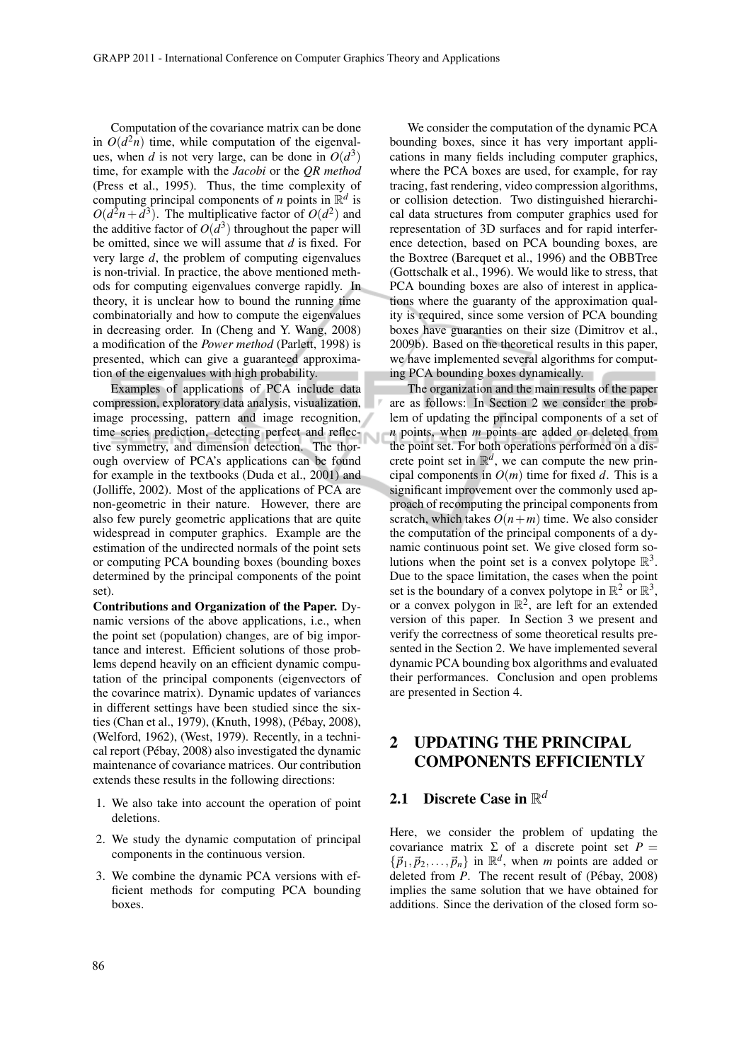Computation of the covariance matrix can be done in  $O(d^2n)$  time, while computation of the eigenvalues, when *d* is not very large, can be done in  $O(d^3)$ time, for example with the *Jacobi* or the *QR method* (Press et al., 1995). Thus, the time complexity of computing principal components of *n* points in  $\mathbb{R}^d$  is  $O(d^2n + d^3)$ . The multiplicative factor of  $O(d^2)$  and the additive factor of  $O(d^3)$  throughout the paper will be omitted, since we will assume that *d* is fixed. For very large *d*, the problem of computing eigenvalues is non-trivial. In practice, the above mentioned methods for computing eigenvalues converge rapidly. In theory, it is unclear how to bound the running time combinatorially and how to compute the eigenvalues in decreasing order. In (Cheng and Y. Wang, 2008) a modification of the *Power method* (Parlett, 1998) is presented, which can give a guaranteed approximation of the eigenvalues with high probability.

Examples of applications of PCA include data compression, exploratory data analysis, visualization, image processing, pattern and image recognition, time series prediction, detecting perfect and reflective symmetry, and dimension detection. The thorough overview of PCA's applications can be found for example in the textbooks (Duda et al., 2001) and (Jolliffe, 2002). Most of the applications of PCA are non-geometric in their nature. However, there are also few purely geometric applications that are quite widespread in computer graphics. Example are the estimation of the undirected normals of the point sets or computing PCA bounding boxes (bounding boxes determined by the principal components of the point set).

Contributions and Organization of the Paper. Dynamic versions of the above applications, i.e., when the point set (population) changes, are of big importance and interest. Efficient solutions of those problems depend heavily on an efficient dynamic computation of the principal components (eigenvectors of the covarince matrix). Dynamic updates of variances in different settings have been studied since the sixties (Chan et al., 1979), (Knuth, 1998), (Pébay, 2008), (Welford, 1962), (West, 1979). Recently, in a technical report (Pébay, 2008) also investigated the dynamic maintenance of covariance matrices. Our contribution extends these results in the following directions:

- 1. We also take into account the operation of point deletions.
- 2. We study the dynamic computation of principal components in the continuous version.
- 3. We combine the dynamic PCA versions with efficient methods for computing PCA bounding boxes.

We consider the computation of the dynamic PCA bounding boxes, since it has very important applications in many fields including computer graphics, where the PCA boxes are used, for example, for ray tracing, fast rendering, video compression algorithms, or collision detection. Two distinguished hierarchical data structures from computer graphics used for representation of 3D surfaces and for rapid interference detection, based on PCA bounding boxes, are the Boxtree (Barequet et al., 1996) and the OBBTree (Gottschalk et al., 1996). We would like to stress, that PCA bounding boxes are also of interest in applications where the guaranty of the approximation quality is required, since some version of PCA bounding boxes have guaranties on their size (Dimitrov et al., 2009b). Based on the theoretical results in this paper, we have implemented several algorithms for computing PCA bounding boxes dynamically.

The organization and the main results of the paper are as follows: In Section 2 we consider the problem of updating the principal components of a set of *n* points, when *m* points are added or deleted from the point set. For both operations performed on a discrete point set in  $\mathbb{R}^d$ , we can compute the new principal components in  $O(m)$  time for fixed *d*. This is a significant improvement over the commonly used approach of recomputing the principal components from scratch, which takes  $O(n+m)$  time. We also consider the computation of the principal components of a dynamic continuous point set. We give closed form solutions when the point set is a convex polytope  $\mathbb{R}^3$ . Due to the space limitation, the cases when the point set is the boundary of a convex polytope in  $\mathbb{R}^2$  or  $\mathbb{R}^3$ , or a convex polygon in  $\mathbb{R}^2$ , are left for an extended version of this paper. In Section 3 we present and verify the correctness of some theoretical results presented in the Section 2. We have implemented several dynamic PCA bounding box algorithms and evaluated their performances. Conclusion and open problems are presented in Section 4.

## 2 UPDATING THE PRINCIPAL COMPONENTS EFFICIENTLY

# 2.1 Discrete Case in R *d*

Here, we consider the problem of updating the covariance matrix  $\Sigma$  of a discrete point set  $P =$  ${\bar{p}_1, \bar{p}_2,..., \bar{p}_n}$  in  $\mathbb{R}^d$ , when *m* points are added or deleted from  $\hat{P}$ . The recent result of (Pébay, 2008) implies the same solution that we have obtained for additions. Since the derivation of the closed form so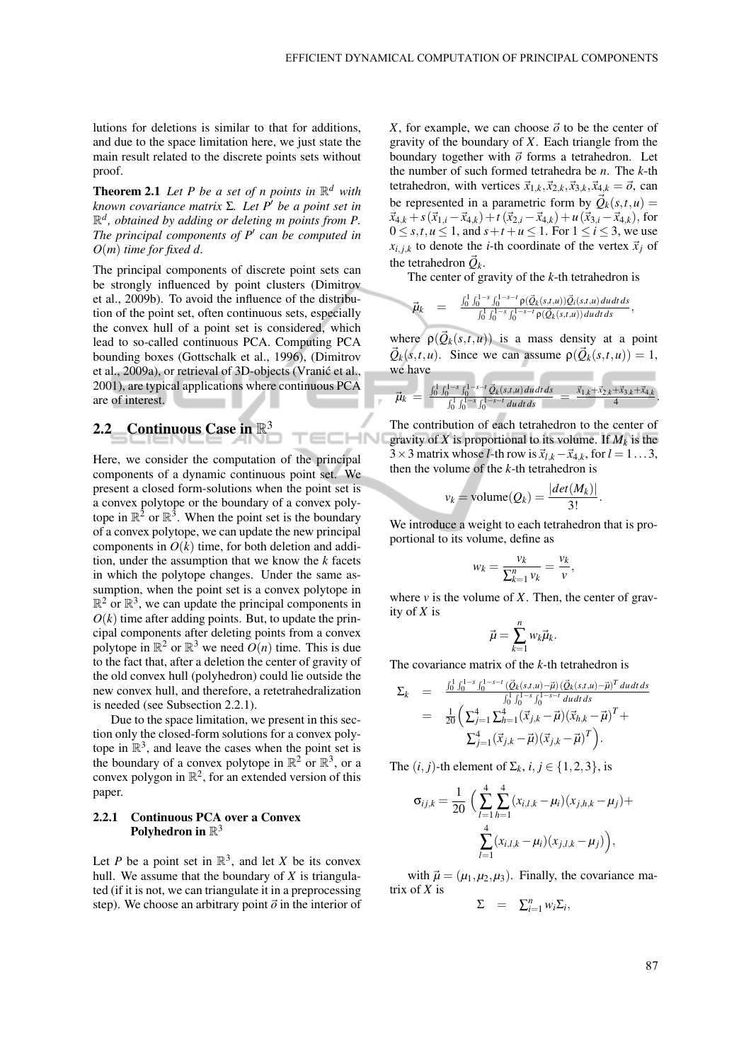lutions for deletions is similar to that for additions, and due to the space limitation here, we just state the main result related to the discrete points sets without proof.

**Theorem 2.1** Let P be a set of n points in  $\mathbb{R}^d$  with *known covariance matrix* Σ. Let P' be a point set in R *d , obtained by adding or deleting m points from P. The principal components of P*<sup>0</sup> *can be computed in O*(*m*) *time for fixed d.*

The principal components of discrete point sets can be strongly influenced by point clusters (Dimitrov et al., 2009b). To avoid the influence of the distribution of the point set, often continuous sets, especially the convex hull of a point set is considered, which lead to so-called continuous PCA. Computing PCA bounding boxes (Gottschalk et al., 1996), (Dimitrov et al., 2009a), or retrieval of 3D-objects (Vranic et al., ´ 2001), are typical applications where continuous PCA are of interest.

# 2.2 Continuous Case in  $\mathbb{R}^3$

Here, we consider the computation of the principal components of a dynamic continuous point set. We present a closed form-solutions when the point set is a convex polytope or the boundary of a convex polytope in  $\mathbb{R}^2$  or  $\mathbb{R}^3$ . When the point set is the boundary of a convex polytope, we can update the new principal components in  $O(k)$  time, for both deletion and addition, under the assumption that we know the *k* facets in which the polytope changes. Under the same assumption, when the point set is a convex polytope in  $\mathbb{R}^2$  or  $\mathbb{R}^3$ , we can update the principal components in  $O(k)$  time after adding points. But, to update the principal components after deleting points from a convex polytope in  $\mathbb{R}^2$  or  $\mathbb{R}^3$  we need  $O(n)$  time. This is due to the fact that, after a deletion the center of gravity of the old convex hull (polyhedron) could lie outside the new convex hull, and therefore, a retetrahedralization is needed (see Subsection 2.2.1).

Due to the space limitation, we present in this section only the closed-form solutions for a convex polytope in  $\mathbb{R}^3$ , and leave the cases when the point set is the boundary of a convex polytope in  $\mathbb{R}^2$  or  $\mathbb{R}^3$ , or a convex polygon in  $\mathbb{R}^2$ , for an extended version of this paper.

### 2.2.1 Continuous PCA over a Convex Polyhedron in  $\mathbb{R}^3$

Let *P* be a point set in  $\mathbb{R}^3$ , and let *X* be its convex hull. We assume that the boundary of *X* is triangulated (if it is not, we can triangulate it in a preprocessing step). We choose an arbitrary point  $\vec{o}$  in the interior of *X*, for example, we can choose  $\vec{o}$  to be the center of gravity of the boundary of *X*. Each triangle from the boundary together with  $\vec{o}$  forms a tetrahedron. Let the number of such formed tetrahedra be *n*. The *k*-th tetrahedron, with vertices  $\vec{x}_{1,k}, \vec{x}_{2,k}, \vec{x}_{3,k}, \vec{x}_{4,k} = \vec{o}$ , can be represented in a parametric form by  $\vec{Q}_k(s,t,u)$  $\vec{x}_{4,k} + s(\vec{x}_{1,i} - \vec{x}_{4,k}) + t(\vec{x}_{2,i} - \vec{x}_{4,k}) + u(\vec{x}_{3,i} - \vec{x}_{4,k}),$  for  $0 \leq s, t, u \leq 1$ , and  $s + t + u \leq 1$ . For  $1 \leq i \leq 3$ , we use  $x_{i,j,k}$  to denote the *i*-th coordinate of the vertex  $\vec{x}_i$  of the tetrahedron  $\vec{Q}_k$ .

The center of gravity of the *k*-th tetrahedron is

$$
\vec{\mu}_k = \frac{\int_0^1 \int_0^{1-s} \int_0^{1-s-t} \rho(\vec{Q}_k(s,t,u)) \vec{Q}_i(s,t,u) du dt ds}{\int_0^1 \int_0^{1-s} \int_0^{1-s-t} \rho(\vec{Q}_k(s,t,u)) du dt ds},
$$

where  $\rho(\vec{Q}_k(s,t,u))$  is a mass density at a point  $\vec{Q}_k(s,t,u)$ . Since we can assume  $\rho(\vec{Q}_k(s,t,u)) = 1$ , we have

$$
\vec{\mu}_k = \frac{\int_0^1 \int_0^{1-s} \int_0^{1-s-t} \vec{Q}_k(s,t,u) du dt ds}{\int_0^1 \int_0^{1-s} \int_0^{1-s-t} du dt ds} = \frac{\vec{x}_{1,k} + \vec{x}_{2,k} + \vec{x}_{3,k} + \vec{x}_{4,k}}{4}.
$$

The contribution of each tetrahedron to the center of HN<sub>I</sub> gravity of *X* is proportional to its volume. If  $M_k$  is the  $3 \times 3$  matrix whose *l*-th row is  $\vec{x}_{l,k} - \vec{x}_{4,k}$ , for  $l = 1...3$ , then the volume of the *k*-th tetrahedron is

$$
v_k = \text{volume}(Q_k) = \frac{|det(M_k)|}{3!}.
$$

We introduce a weight to each tetrahedron that is proportional to its volume, define as

$$
w_k = \frac{v_k}{\sum_{k=1}^n v_k} = \frac{v_k}{v},
$$

where  $\nu$  is the volume of  $X$ . Then, the center of gravity of *X* is

$$
\vec{\mu} = \sum_{k=1}^n w_k \vec{\mu}_k.
$$

The covariance matrix of the *k*-th tetrahedron is

$$
\Sigma_{k} = \frac{\int_{0}^{1} \int_{0}^{1-s} \int_{0}^{1-s-t} (\vec{Q}_{k}(s,t,u)-\vec{\mu}) (\vec{Q}_{k}(s,t,u)-\vec{\mu})^{T} du dt ds}{\int_{0}^{1} \int_{0}^{1-s} \int_{0}^{1-s-t} du dt ds}
$$
  
=  $\frac{1}{20} \left( \sum_{j=1}^{4} \sum_{h=1}^{4} (\vec{x}_{j,k} - \vec{\mu}) (\vec{x}_{h,k} - \vec{\mu})^{T} + \sum_{j=1}^{4} (\vec{x}_{j,k} - \vec{\mu}) (\vec{x}_{j,k} - \vec{\mu})^{T} \right).$ 

The  $(i, j)$ -th element of  $\Sigma_k$ ,  $i, j \in \{1, 2, 3\}$ , is

$$
\sigma_{ij,k} = \frac{1}{20} \left( \sum_{l=1}^{4} \sum_{h=1}^{4} (x_{i,l,k} - \mu_i)(x_{j,h,k} - \mu_j) + \frac{4}{\sum_{l=1}^{4} (x_{i,l,k} - \mu_i)(x_{j,l,k} - \mu_j)} \right),
$$

with  $\vec{\mu} = (\mu_1, \mu_2, \mu_3)$ . Finally, the covariance matrix of *X* is

$$
\Sigma = \sum_{i=1}^n w_i \Sigma_i,
$$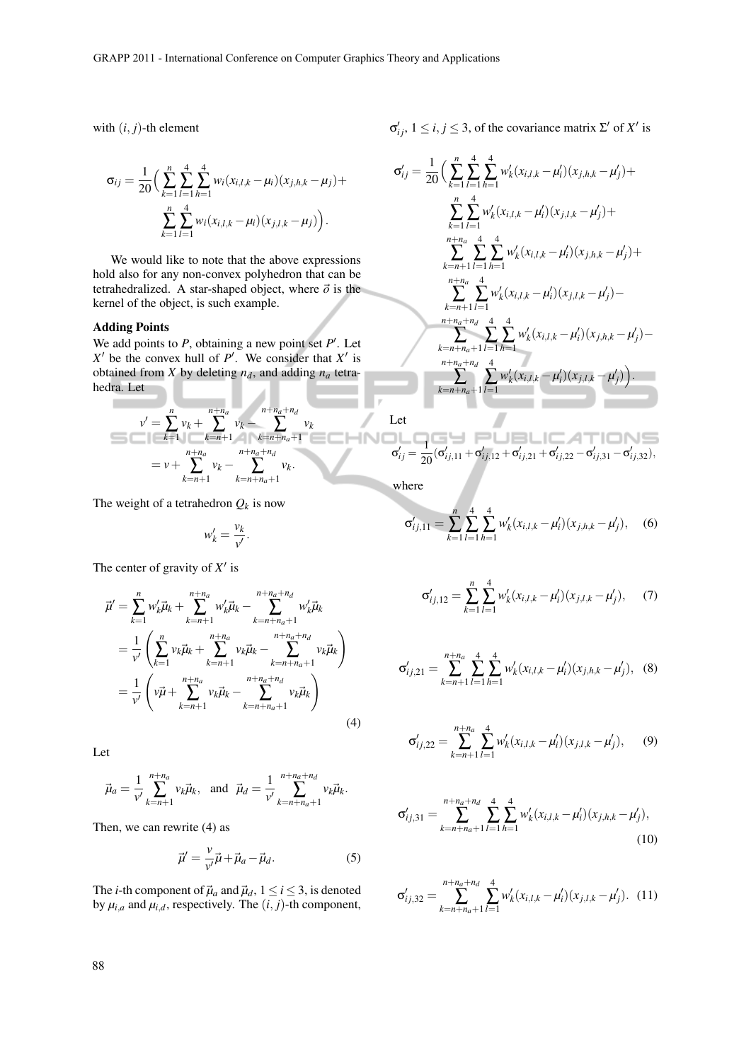with  $(i, j)$ -th element

$$
\sigma_{ij} = \frac{1}{20} \Big( \sum_{k=1}^{n} \sum_{l=1}^{4} \sum_{h=1}^{4} w_i (x_{i,l,k} - \mu_i) (x_{j,h,k} - \mu_j) + \sum_{k=1}^{n} \sum_{l=1}^{4} w_i (x_{i,l,k} - \mu_i) (x_{j,l,k} - \mu_j) \Big).
$$

We would like to note that the above expressions hold also for any non-convex polyhedron that can be tetrahedralized. A star-shaped object, where  $\vec{o}$  is the kernel of the object, is such example.

### Adding Points

We add points to  $P$ , obtaining a new point set  $P'$ . Let  $X'$  be the convex hull of *P'*. We consider that  $X'$  is obtained from *X* by deleting  $n_d$ , and adding  $n_a$  tetrahedra. Let

$$
v' = \sum_{k=1}^{n} v_k + \sum_{k=n+1}^{n+n_a} v_k - \sum_{k=n+n_a+1}^{n+n_a+n_d} v_k
$$
  
=  $v + \sum_{k=n+1}^{n+n_a} v_k - \sum_{k=n+n_a+1}^{n+n_a+n_d} v_k.$ 

The weight of a tetrahedron  $Q_k$  is now

$$
w'_k = \frac{v_k}{v'}.
$$

The center of gravity of  $X'$  is

$$
\vec{\mu}' = \sum_{k=1}^{n} w'_k \vec{\mu}_k + \sum_{k=n+1}^{n+n_a} w'_k \vec{\mu}_k - \sum_{k=n+n_a+1}^{n+n_a+n_d} w'_k \vec{\mu}_k \n= \frac{1}{\nu'} \left( \sum_{k=1}^{n} v_k \vec{\mu}_k + \sum_{k=n+1}^{n+n_a} v_k \vec{\mu}_k - \sum_{k=n+n_a+1}^{n+n_a+n_d} v_k \vec{\mu}_k \right) \n= \frac{1}{\nu'} \left( v\vec{\mu} + \sum_{k=n+1}^{n+n_a} v_k \vec{\mu}_k - \sum_{k=n+n_a+1}^{n+n_a+n_d} v_k \vec{\mu}_k \right)
$$
\n(4)

Let

$$
\vec{\mu}_a = \frac{1}{v'} \sum_{k=n+1}^{n+n_a} v_k \vec{\mu}_k
$$
, and  $\vec{\mu}_d = \frac{1}{v'} \sum_{k=n+n_a+1}^{n+n_a+n_d} v_k \vec{\mu}_k$ .

Then, we can rewrite (4) as

$$
\vec{\mu}' = \frac{v}{v'}\vec{\mu} + \vec{\mu}_a - \vec{\mu}_d.
$$
 (5)

The *i*-th component of  $\vec{\mu}_a$  and  $\vec{\mu}_d$ ,  $1 \le i \le 3$ , is denoted by  $\mu_{i,a}$  and  $\mu_{i,d}$ , respectively. The  $(i, j)$ -th component,  $σ'_{ij}$ , 1 ≤ *i*, *j* ≤ 3, of the covariance matrix Σ' of X' is

$$
\sigma'_{ij} = \frac{1}{20} \Big( \sum_{k=1}^{n} \sum_{l=1}^{4} \sum_{h=1}^{4} w'_{k}(x_{i,l,k} - \mu'_{i})(x_{j,h,k} - \mu'_{j}) +
$$
  

$$
\sum_{k=1}^{n} \sum_{l=1}^{4} w'_{k}(x_{i,l,k} - \mu'_{i})(x_{j,l,k} - \mu'_{j}) +
$$
  

$$
\sum_{k=n+1}^{n+n} \sum_{l=1}^{4} \sum_{h=1}^{4} w'_{k}(x_{i,l,k} - \mu'_{i})(x_{j,h,k} - \mu'_{j}) +
$$
  

$$
\sum_{k=n+1}^{n+n} \sum_{l=1}^{4} w'_{k}(x_{i,l,k} - \mu'_{i})(x_{j,l,k} - \mu'_{j}) -
$$
  

$$
\sum_{k=n+n}^{n+n} \sum_{h=1}^{4} \sum_{h=1}^{4} w'_{k}(x_{i,l,k} - \mu'_{i})(x_{j,h,k} - \mu'_{j}) -
$$
  

$$
\sum_{k=n+n}^{n+n} \sum_{h=1}^{4} \sum_{l=1}^{4} w'_{k}(x_{i,l,k} - \mu'_{i})(x_{j,l,k} - \mu'_{j}) \Big).
$$

Let  
\n
$$
\sigma'_{ij} = \frac{1}{20} (\sigma'_{ij,11} + \sigma'_{ij,12} + \sigma'_{ij,21} + \sigma'_{ij,22} - \sigma'_{ij,31} - \sigma'_{ij,32}),
$$

where

-injo

$$
\sigma'_{ij,11} = \sum_{k=1}^{n} \sum_{l=1}^{4} \sum_{h=1}^{4} w'_k (x_{i,l,k} - \mu'_i)(x_{j,h,k} - \mu'_j), \quad (6)
$$

$$
\sigma'_{ij,12} = \sum_{k=1}^{n} \sum_{l=1}^{4} w'_k (x_{i,l,k} - \mu'_i)(x_{j,l,k} - \mu'_j), \quad (7)
$$

$$
\sigma'_{ij,21} = \sum_{k=n+1}^{n+n_a} \sum_{l=1}^4 \sum_{h=1}^4 w'_k (x_{i,l,k} - \mu'_i)(x_{j,h,k} - \mu'_j), \quad (8)
$$

$$
\sigma'_{ij,22} = \sum_{k=n+1}^{n+n_a} \sum_{l=1}^4 w'_k (x_{i,l,k} - \mu'_i)(x_{j,l,k} - \mu'_j), \qquad (9)
$$

$$
\sigma'_{ij,31} = \sum_{k=n+n_a+1}^{n+n_a+n_d} \sum_{l=1}^4 \sum_{h=1}^4 w'_k (x_{i,l,k} - \mu'_i)(x_{j,h,k} - \mu'_j),
$$
\n(10)

$$
\sigma'_{ij,32} = \sum_{k=n+n_a+1}^{n+n_a+n_d} \sum_{l=1}^4 w'_k (x_{i,l,k} - \mu'_i)(x_{j,l,k} - \mu'_j). \tag{11}
$$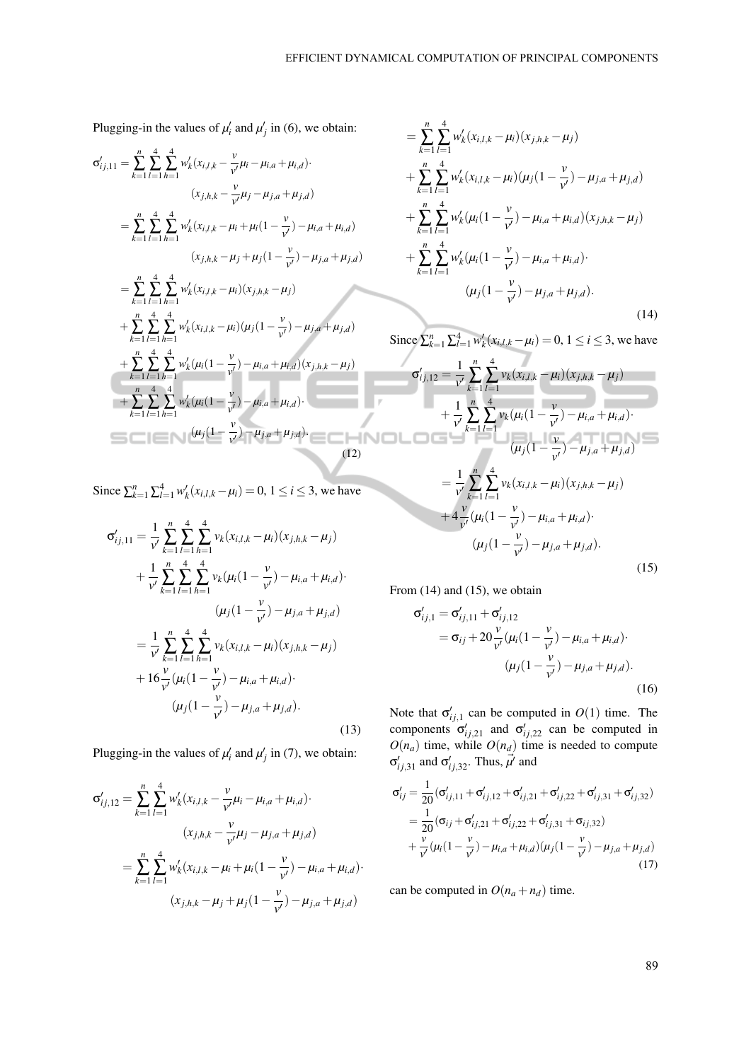Plugging-in the values of  $\mu'_i$  and  $\mu'_j$  in (6), we obtain:

$$
\sigma'_{ij,11} = \sum_{k=1}^{n} \sum_{l=1}^{4} \sum_{h=1}^{4} w'_{k}(x_{i,l,k} - \frac{v}{v'} \mu_{i} - \mu_{i,a} + \mu_{i,d})
$$
  
\n
$$
= \sum_{k=1}^{n} \sum_{l=1}^{4} \sum_{h=1}^{4} w'_{k}(x_{i,l,k} - \mu_{i} + \mu_{i}(1 - \frac{v}{v'}) - \mu_{i,a} + \mu_{i,d})
$$
  
\n
$$
(x_{j,h,k} - \mu_{j} + \mu_{j}(1 - \frac{v}{v'}) - \mu_{j,a} + \mu_{j,d})
$$
  
\n
$$
= \sum_{k=1}^{n} \sum_{l=1}^{4} \sum_{h=1}^{4} w'_{k}(x_{i,l,k} - \mu_{i})(x_{j,h,k} - \mu_{j})
$$
  
\n
$$
+ \sum_{k=1}^{n} \sum_{l=1}^{4} \sum_{h=1}^{4} w'_{k}(x_{i,l,k} - \mu_{i})(\mu_{j}(1 - \frac{v}{v'}) - \mu_{j,a} + \mu_{j,d})
$$
  
\n
$$
+ \sum_{k=1}^{n} \sum_{l=1}^{4} \sum_{h=1}^{4} w'_{k}(\mu_{i}(1 - \frac{v}{v'}) - \mu_{i,a} + \mu_{i,d})(x_{j,h,k} - \mu_{j})
$$
  
\n
$$
+ \sum_{k=1}^{n} \sum_{l=1}^{4} \sum_{h=1}^{4} w'_{k}(\mu_{i}(1 - \frac{v}{v'}) - \mu_{i,a} + \mu_{i,d}).
$$
  
\n
$$
(\mu_{j}(1 - \frac{v}{v'}) - \mu_{j,a} + \mu_{j,d}).
$$
  
\n(12)

Since  $\sum_{k=1}^{n} \sum_{l=1}^{4} w'_{k}(x_{i,l,k} - \mu_{i}) = 0, 1 \le i \le 3$ , we have

$$
\sigma'_{ij,11} = \frac{1}{\nu'} \sum_{k=1}^{n} \sum_{l=1}^{4} \sum_{h=1}^{4} \nu_k (x_{i,l,k} - \mu_i)(x_{j,h,k} - \mu_j)
$$
  
+ 
$$
\frac{1}{\nu'} \sum_{k=1}^{n} \sum_{l=1}^{4} \sum_{h=1}^{4} \nu_k (\mu_i (1 - \frac{\nu}{\nu'}) - \mu_{i,a} + \mu_{i,d})
$$
  

$$
(\mu_j (1 - \frac{\nu}{\nu'}) - \mu_{j,a} + \mu_{j,d})
$$
  
= 
$$
\frac{1}{\nu'} \sum_{k=1}^{n} \sum_{l=1}^{4} \sum_{h=1}^{4} \nu_k (x_{i,l,k} - \mu_i)(x_{j,h,k} - \mu_j)
$$
  
+ 
$$
16 \frac{\nu}{\nu'} (\mu_i (1 - \frac{\nu}{\nu'}) - \mu_{i,a} + \mu_{i,d})
$$
  

$$
(\mu_j (1 - \frac{\nu}{\nu'}) - \mu_{j,a} + \mu_{j,d}).
$$
 (13)

Plugging-in the values of  $\mu'_i$  and  $\mu'_j$  in (7), we obtain:

$$
\sigma'_{ij,12} = \sum_{k=1}^{n} \sum_{l=1}^{4} w'_k (x_{i,l,k} - \frac{v}{v'} \mu_i - \mu_{i,a} + \mu_{i,d})
$$

$$
(x_{j,h,k} - \frac{v}{v'} \mu_j - \mu_{j,a} + \mu_{j,d})
$$

$$
= \sum_{k=1}^{n} \sum_{l=1}^{4} w'_k (x_{i,l,k} - \mu_i + \mu_i (1 - \frac{v}{v'}) - \mu_{i,a} + \mu_{i,d})
$$

$$
(x_{j,h,k} - \mu_j + \mu_j (1 - \frac{v}{v'}) - \mu_{j,a} + \mu_{j,d})
$$

$$
= \sum_{k=1}^{n} \sum_{l=1}^{4} w'_{k}(x_{i,l,k} - \mu_{i})(x_{j,h,k} - \mu_{j})
$$
  
+ 
$$
\sum_{k=1}^{n} \sum_{l=1}^{4} w'_{k}(x_{i,l,k} - \mu_{i})(\mu_{j}(1 - \frac{v}{v'}) - \mu_{j,a} + \mu_{j,d})
$$
  
+ 
$$
\sum_{k=1}^{n} \sum_{l=1}^{4} w'_{k}(\mu_{i}(1 - \frac{v}{v'}) - \mu_{i,a} + \mu_{i,d})(x_{j,h,k} - \mu_{j})
$$
  
+ 
$$
\sum_{k=1}^{n} \sum_{l=1}^{4} w'_{k}(\mu_{i}(1 - \frac{v}{v'}) - \mu_{i,a} + \mu_{i,d}).
$$
  

$$
(\mu_{j}(1 - \frac{v}{v'}) - \mu_{j,a} + \mu_{j,d}).
$$
 (14)

Since  $\sum_{k=1}^{n} \sum_{l=1}^{4} w'_{k}(x_{i,l,k} - \mu_{i}) = 0, 1 \le i \le 3$ , we have

$$
\sigma'_{ij,12} = \frac{1}{\nu'} \sum_{k=1}^{n} \sum_{l=1}^{4} v_k (x_{i,l,k} - \mu_i)(x_{j,h,k} - \mu_j)
$$
  
+ 
$$
\frac{1}{\nu'} \sum_{k=1}^{n} \sum_{l=1}^{4} v_k (\mu_i (1 - \frac{\nu}{\nu'}) - \mu_{i,a} + \mu_{i,d})
$$
  
= 
$$
\frac{1}{\nu'} \sum_{k=1}^{n} \sum_{l=1}^{4} v_k (x_{i,l,k} - \mu_i)(x_{j,h,k} - \mu_j)
$$
  
+ 
$$
4 \frac{\nu}{\nu'} (\mu_i (1 - \frac{\nu}{\nu'}) - \mu_{i,a} + \mu_{i,d})
$$
  

$$
(\mu_j (1 - \frac{\nu}{\nu'}) - \mu_{j,a} + \mu_{j,d}).
$$
 (15)

From  $(14)$  and  $(15)$ , we obtain

$$
\sigma'_{ij,1} = \sigma'_{ij,11} + \sigma'_{ij,12}
$$
  
=  $\sigma_{ij} + 20 \frac{v}{v'} (\mu_i (1 - \frac{v}{v'}) - \mu_{i,a} + \mu_{i,d}).$   

$$
(\mu_j (1 - \frac{v}{v'}) - \mu_{j,a} + \mu_{j,d}).
$$
 (16)

Note that  $\sigma'_{ij,1}$  can be computed in  $O(1)$  time. The components  $\sigma'_{ij,21}$  and  $\sigma'_{ij,22}$  can be computed in  $O(n_a)$  time, while  $O(n_a)$  time is needed to compute  $\sigma'_{ij,31}$  and  $\sigma'_{ij,32}$ . Thus,  $\vec{\mu'}$  and

$$
\sigma'_{ij} = \frac{1}{20} (\sigma'_{ij,11} + \sigma'_{ij,12} + \sigma'_{ij,21} + \sigma'_{ij,22} + \sigma'_{ij,31} + \sigma'_{ij,32})
$$
  
= 
$$
\frac{1}{20} (\sigma_{ij} + \sigma'_{ij,21} + \sigma'_{ij,22} + \sigma'_{ij,31} + \sigma_{ij,32})
$$
  
+ 
$$
\frac{\nu}{\nu} (\mu_i (1 - \frac{\nu}{\nu'}) - \mu_{i,a} + \mu_{i,d}) (\mu_j (1 - \frac{\nu}{\nu'}) - \mu_{j,a} + \mu_{j,d})
$$
(17)

can be computed in  $O(n_a + n_d)$  time.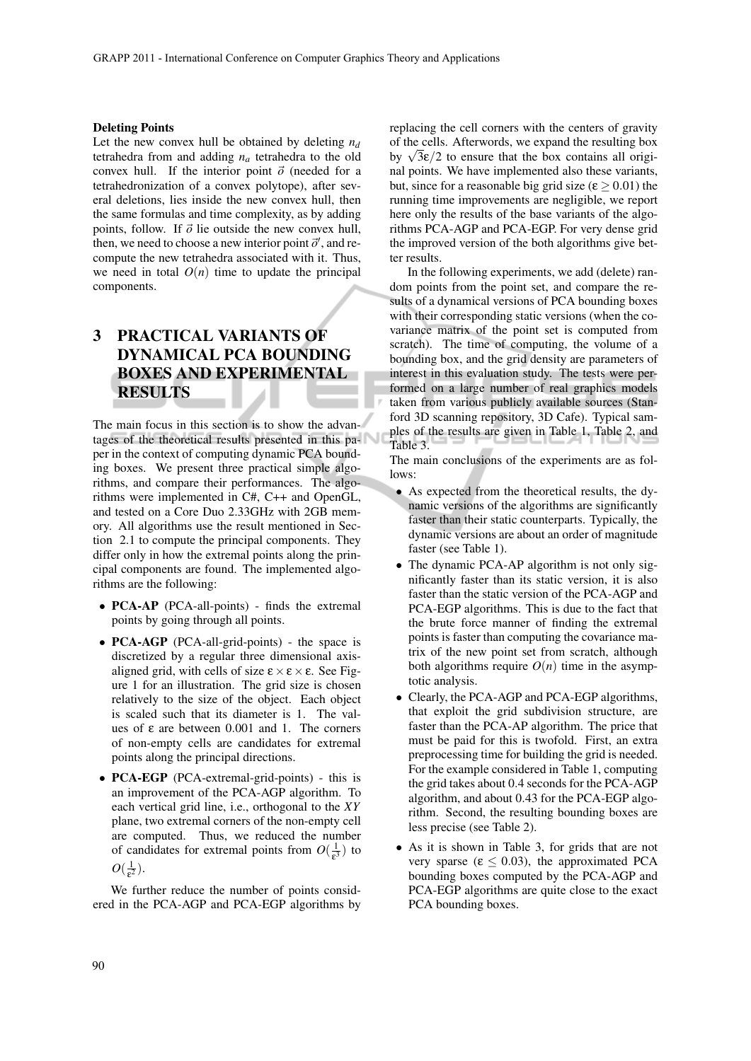#### Deleting Points

Let the new convex hull be obtained by deleting  $n_d$ tetrahedra from and adding *n<sup>a</sup>* tetrahedra to the old convex hull. If the interior point  $\vec{o}$  (needed for a tetrahedronization of a convex polytope), after several deletions, lies inside the new convex hull, then the same formulas and time complexity, as by adding points, follow. If  $\vec{o}$  lie outside the new convex hull, then, we need to choose a new interior point  $\vec{o}'$ , and recompute the new tetrahedra associated with it. Thus, we need in total  $O(n)$  time to update the principal components.

# 3 PRACTICAL VARIANTS OF DYNAMICAL PCA BOUNDING BOXES AND EXPERIMENTAL RESULTS

The main focus in this section is to show the advantages of the theoretical results presented in this paper in the context of computing dynamic PCA bounding boxes. We present three practical simple algorithms, and compare their performances. The algorithms were implemented in C#, C++ and OpenGL, and tested on a Core Duo 2.33GHz with 2GB memory. All algorithms use the result mentioned in Section 2.1 to compute the principal components. They differ only in how the extremal points along the principal components are found. The implemented algorithms are the following:

- PCA-AP (PCA-all-points) finds the extremal points by going through all points.
- PCA-AGP (PCA-all-grid-points) the space is discretized by a regular three dimensional axisaligned grid, with cells of size  $\epsilon \times \epsilon \times \epsilon$ . See Figure 1 for an illustration. The grid size is chosen relatively to the size of the object. Each object is scaled such that its diameter is 1. The values of ε are between  $0.001$  and 1. The corners of non-empty cells are candidates for extremal points along the principal directions.
- PCA-EGP (PCA-extremal-grid-points) this is an improvement of the PCA-AGP algorithm. To each vertical grid line, i.e., orthogonal to the *XY* plane, two extremal corners of the non-empty cell are computed. Thus, we reduced the number of candidates for extremal points from  $O(\frac{1}{\epsilon})$  $rac{1}{\epsilon^3}$ ) to  $O(\frac{1}{c^2})$  $rac{1}{\epsilon^2}$ ).

We further reduce the number of points considered in the PCA-AGP and PCA-EGP algorithms by replacing the cell corners with the centers of gravity of the cells. Afterwords, we expand the resulting box of the cells. Afterwords, we expand the resulting box<br>by  $\sqrt{3\varepsilon}/2$  to ensure that the box contains all original points. We have implemented also these variants, but, since for a reasonable big grid size ( $\varepsilon \ge 0.01$ ) the running time improvements are negligible, we report here only the results of the base variants of the algorithms PCA-AGP and PCA-EGP. For very dense grid the improved version of the both algorithms give better results.

In the following experiments, we add (delete) random points from the point set, and compare the results of a dynamical versions of PCA bounding boxes with their corresponding static versions (when the covariance matrix of the point set is computed from scratch). The time of computing, the volume of a bounding box, and the grid density are parameters of interest in this evaluation study. The tests were performed on a large number of real graphics models taken from various publicly available sources (Stanford 3D scanning repository, 3D Cafe). Typical samples of the results are given in Table 1, Table 2, and Table 3.

The main conclusions of the experiments are as follows:

- As expected from the theoretical results, the dynamic versions of the algorithms are significantly faster than their static counterparts. Typically, the dynamic versions are about an order of magnitude faster (see Table 1).
- The dynamic PCA-AP algorithm is not only significantly faster than its static version, it is also faster than the static version of the PCA-AGP and PCA-EGP algorithms. This is due to the fact that the brute force manner of finding the extremal points is faster than computing the covariance matrix of the new point set from scratch, although both algorithms require  $O(n)$  time in the asymptotic analysis.
- Clearly, the PCA-AGP and PCA-EGP algorithms, that exploit the grid subdivision structure, are faster than the PCA-AP algorithm. The price that must be paid for this is twofold. First, an extra preprocessing time for building the grid is needed. For the example considered in Table 1, computing the grid takes about 0.4 seconds for the PCA-AGP algorithm, and about 0.43 for the PCA-EGP algorithm. Second, the resulting bounding boxes are less precise (see Table 2).
- As it is shown in Table 3, for grids that are not very sparse ( $\varepsilon \leq 0.03$ ), the approximated PCA bounding boxes computed by the PCA-AGP and PCA-EGP algorithms are quite close to the exact PCA bounding boxes.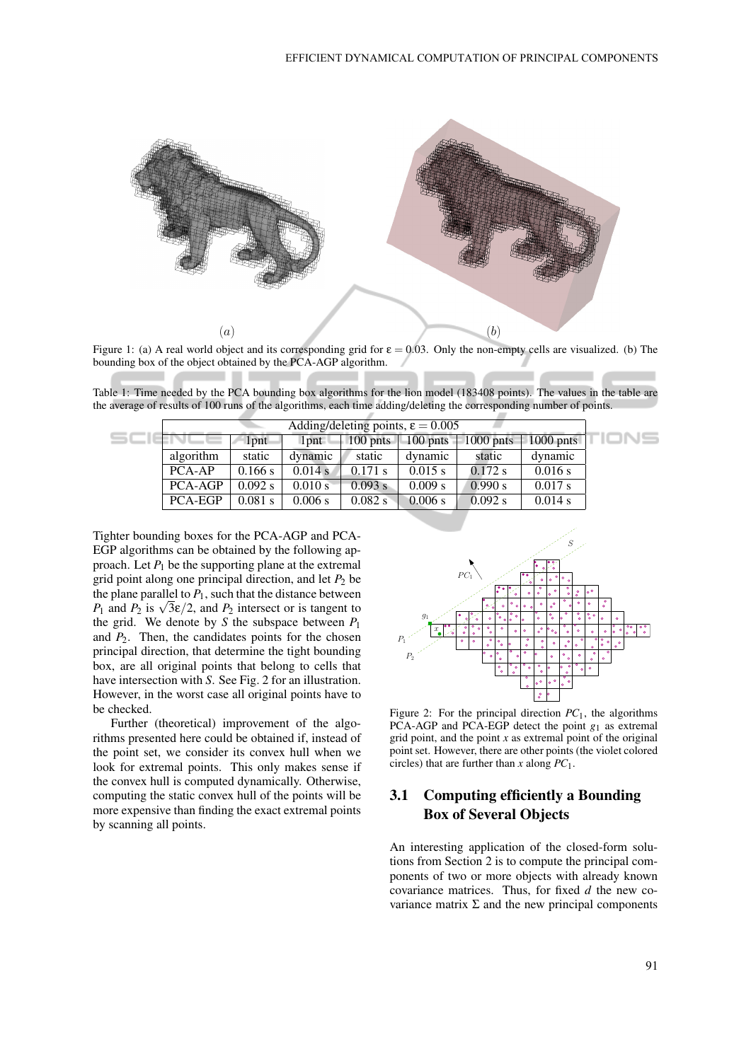

Figure 1: (a) A real world object and its corresponding grid for  $\varepsilon = 0.03$ . Only the non-empty cells are visualized. (b) The bounding box of the object obtained by the PCA-AGP algorithm.

Table 1: Time needed by the PCA bounding box algorithms for the lion model (183408 points). The values in the table are the average of results of 100 runs of the algorithms, each time adding/deleting the corresponding number of points.

| Adding/deleting points, $\epsilon = 0.005$ |         |                  |                    |                          |             |             |  |
|--------------------------------------------|---------|------------------|--------------------|--------------------------|-------------|-------------|--|
|                                            | $1$ pnt | 1 <sub>pnt</sub> | $100 \text{ bits}$ | $\vert$ 100 pnts $\vert$ | $1000$ pnts | $1000$ pnts |  |
| algorithm                                  | static  | dynamic          | static             | dynamic                  | static      | dynamic     |  |
| PCA-AP                                     | 0.166 s | 0.014 s          | $0.171$ s          | $0.015$ s                | $0.172$ s   | 0.016 s     |  |
| <b>PCA-AGP</b>                             | 0.092 s | 0.010 s          | 0.093 s            | 0.009 s                  | 0.990 s     | 0.017 s     |  |
| <b>PCA-EGP</b>                             | 0.081 s | 0.006 s          | 0.082 s            | 0.006 s                  | $0.092$ s   | 0.014 s     |  |

Tighter bounding boxes for the PCA-AGP and PCA-EGP algorithms can be obtained by the following approach. Let  $P_1$  be the supporting plane at the extremal grid point along one principal direction, and let  $P_2$  be the plane parallel to  $P_1$ , such that the distance between the plane parallel to  $P_1$ , such that the distance between  $P_1$  and  $P_2$  is  $\sqrt{3\varepsilon}/2$ , and  $P_2$  intersect or is tangent to the grid. We denote by *S* the subspace between  $P_1$ and  $P_2$ . Then, the candidates points for the chosen principal direction, that determine the tight bounding box, are all original points that belong to cells that have intersection with *S*. See Fig. 2 for an illustration. However, in the worst case all original points have to be checked.

Further (theoretical) improvement of the algorithms presented here could be obtained if, instead of the point set, we consider its convex hull when we look for extremal points. This only makes sense if the convex hull is computed dynamically. Otherwise, computing the static convex hull of the points will be more expensive than finding the exact extremal points by scanning all points.



Figure 2: For the principal direction  $PC_1$ , the algorithms PCA-AGP and PCA-EGP detect the point *g*<sup>1</sup> as extremal grid point, and the point *x* as extremal point of the original point set. However, there are other points (the violet colored circles) that are further than *x* along *PC*1.

## 3.1 Computing efficiently a Bounding Box of Several Objects

An interesting application of the closed-form solutions from Section 2 is to compute the principal components of two or more objects with already known covariance matrices. Thus, for fixed *d* the new covariance matrix Σ and the new principal components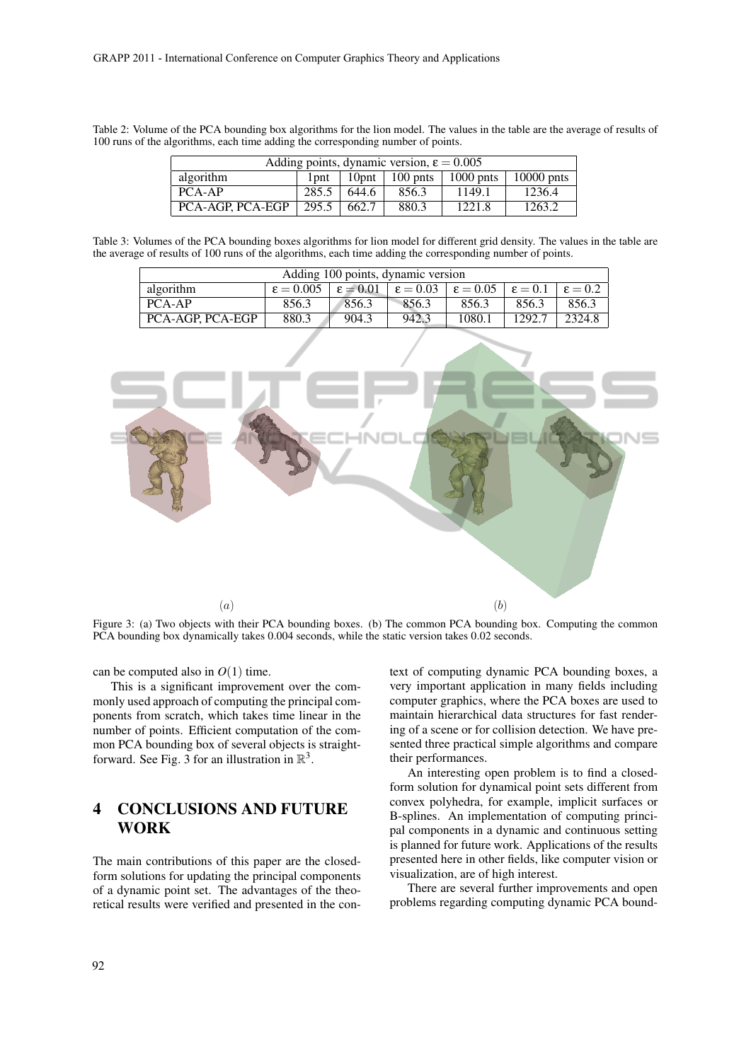Table 2: Volume of the PCA bounding box algorithms for the lion model. The values in the table are the average of results of 100 runs of the algorithms, each time adding the corresponding number of points.

| Adding points, dynamic version, $\epsilon = 0.005$ |                   |          |       |                            |              |  |  |  |
|----------------------------------------------------|-------------------|----------|-------|----------------------------|--------------|--|--|--|
| algorithm                                          | $1$ pnt $\perp$   | $10$ pnt |       | 100 pnts $\vert$ 1000 pnts | $10000$ pnts |  |  |  |
| $PCA-AP$                                           | 285.5             | 644.6    | 856.3 | 1149.1                     | 1236.4       |  |  |  |
| <b>PCA-AGP, PCA-EGP</b>                            | $295.5 \pm 662.7$ |          | 880.3 | 1221.8                     | 1263.2       |  |  |  |

Table 3: Volumes of the PCA bounding boxes algorithms for lion model for different grid density. The values in the table are the average of results of 100 runs of the algorithms, each time adding the corresponding number of points.

| Adding 100 points, dynamic version |                                                                                                            |       |       |        |        |        |  |  |  |
|------------------------------------|------------------------------------------------------------------------------------------------------------|-------|-------|--------|--------|--------|--|--|--|
| algorithm                          | $\epsilon = 0.005$ $\epsilon = 0.01$ $\epsilon = 0.03$ $\epsilon = 0.05$ $\epsilon = 0.1$ $\epsilon = 0.2$ |       |       |        |        |        |  |  |  |
| PCA-AP                             | 856.3                                                                                                      | 856.3 | 856.3 | 856.3  | 856.3  | 856.3  |  |  |  |
| PCA-AGP, PCA-EGP                   | 880.3                                                                                                      | 904.3 | 942.3 | 1080.1 | 1292.7 | 2324.8 |  |  |  |



Figure 3: (a) Two objects with their PCA bounding boxes. (b) The common PCA bounding box. Computing the common PCA bounding box dynamically takes 0.004 seconds, while the static version takes 0.02 seconds.

can be computed also in  $O(1)$  time.

This is a significant improvement over the commonly used approach of computing the principal components from scratch, which takes time linear in the number of points. Efficient computation of the common PCA bounding box of several objects is straightforward. See Fig. 3 for an illustration in  $\mathbb{R}^3$ .

## 4 CONCLUSIONS AND FUTURE WORK

The main contributions of this paper are the closedform solutions for updating the principal components of a dynamic point set. The advantages of the theoretical results were verified and presented in the context of computing dynamic PCA bounding boxes, a very important application in many fields including computer graphics, where the PCA boxes are used to maintain hierarchical data structures for fast rendering of a scene or for collision detection. We have presented three practical simple algorithms and compare their performances.

An interesting open problem is to find a closedform solution for dynamical point sets different from convex polyhedra, for example, implicit surfaces or B-splines. An implementation of computing principal components in a dynamic and continuous setting is planned for future work. Applications of the results presented here in other fields, like computer vision or visualization, are of high interest.

There are several further improvements and open problems regarding computing dynamic PCA bound